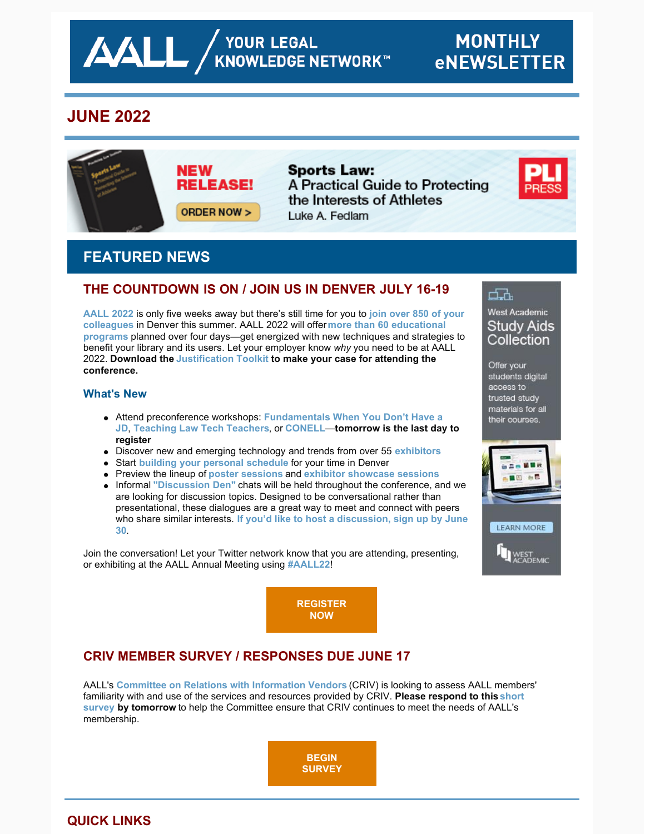# **JUNE 2022**



**Sports Law:** A Practical Guide to Protecting the Interests of Athletes Luke A. Fedlam



# **FEATURED NEWS**

## **THE COUNTDOWN IS ON / JOIN US IN DENVER JULY 16-19**

**[AALL 2022](https://www.aallnet.org/conference/)** [is only five weeks away but there's still time for you to](https://eventmobi.com/aall2022/people/ef0c5398-586b-427d-b542-c1aa49688886) **join over 850 of your colleagues** in Denver this summer. AALL 2022 will offer **more than 60 educational programs** [planned over four days—get energized with new techniques and strategi](https://eventmobi.com/aall2022/agenda/a726b21f-5b6b-4478-8355-f5025035fcf1/day/all)es to benefit your library and its users. Let your employer know *why* you need to be at AALL 2022. **Download the [Justification Toolkit](https://www.aallnet.org/conference/wp-content/uploads/sites/18/2022/05/AALL-Annual-Meeting-Justification-Toolkit-FINAL-WEB.pdf) to make your case for attending the conference.**

#### **What's New**

- Attend preconference workshops: **[Fundamentals When You Don't Have a](https://eventmobi.com/aall2022/agenda/a726b21f-5b6b-4478-8355-f5025035fcf1/session/dffcb605-8c70-4fed-97a2-d7a6dc09e469) JD**, **[Teaching Law Tech Teachers](https://eventmobi.com/aall2022/agenda/a726b21f-5b6b-4478-8355-f5025035fcf1/session/7ee0ac44-536a-49ab-8e5f-b65575a8102c)**, or **[CONELL](https://eventmobi.com/aall2022/agenda/a726b21f-5b6b-4478-8355-f5025035fcf1/session/09648086-796c-4b3e-b5a1-3fcd5d7936e0)**—**tomorrow is the last day to register**
- Discover new and emerging technology and trends from over 55 **[exhibitors](https://eventmobi.com/aall2022/companies/05062b8e-7851-4f1a-a344-971a35ae2dd6)**
- Start **[building your personal schedule](https://eventmobi.com/aall2022/)** for your time in Denver
- Preview the lineup of **[poster sessions](https://www.aallnet.org/conference/agenda/poster-sessions/)** and **[exhibitor showcase sessions](https://eventmobi.com/aall2022/agenda/289e20bb-e2ba-4bc3-bcb5-3e382ebcae13/day/all)**
- Informal ["Discussion Den"](https://www.aallnet.org/conference/agenda/discussion-dens/) chats will be held throughout the conference, and we are looking for discussion topics. Designed to be conversational rather than presentational, these dialogues are a great way to meet and connect with peers who share similar interests. **[If you'd like to host a discussion, sign up by June](https://www.aallnet.org/conference/agenda/discussion-dens/) 30**.

Join the conversation! Let your Twitter network know that you are attending, presenting, or exhibiting at the AALL Annual Meeting using **[#AALL22](https://twitter.com/search?q=AALL22&src=typed_query&f=live)**!

> **[REGISTER](https://aallconference.org/registration/) NOW**

# **CRIV MEMBER SURVEY / RESPONSES DUE JUNE 17**

AALL's **[Committee on Relations with Information Vendors](https://www.aallnet.org/about-us/who-we-are/committees-juries/committee-relations-information-vendors-criv/)** (CRIV) is looking to assess AALL members' familiarity with and use of the services and resources provided by CRIV. **Please respond to this short survey by tomorrow** [to help the Committee ensure that CRIV continues to meet the needs of AALL's](https://iu.co1.qualtrics.com/jfe/form/SV_2lYB9WgAyR3BI6q) membership.

> **BEGIN [SURVEY](https://iu.co1.qualtrics.com/jfe/form/SV_2lYB9WgAyR3BI6q)**

## **QUICK LINKS**

## d.h.

#### West Academic **Study Aids** Collection

Offer your students digital access to trusted study materials for all their courses.



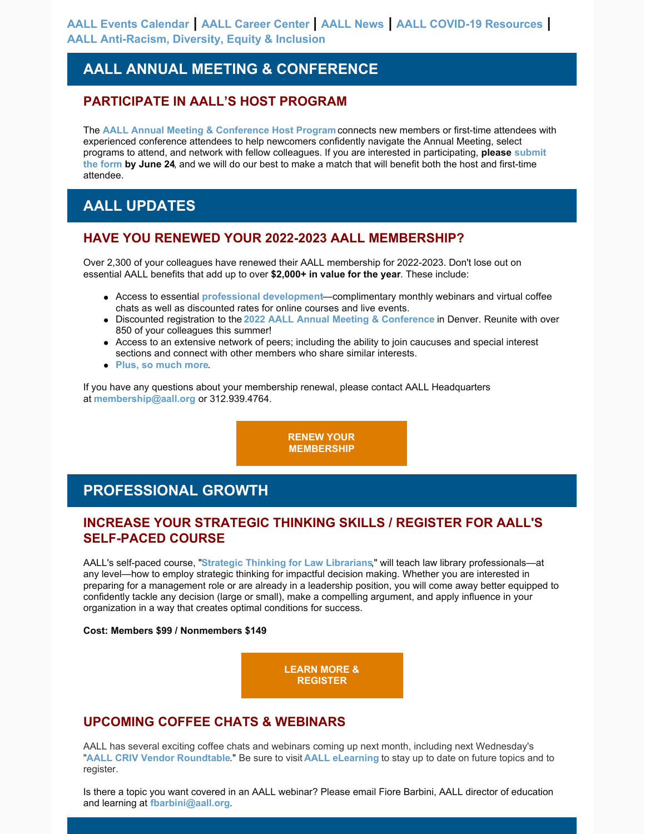## **AALL ANNUAL MEETING & CONFERENCE**

### **PARTICIPATE IN AALL'S HOST PROGRAM**

The **[AALL Annual Meeting & Conference Host Program](https://www.aallnet.org/conference/resources/host-program/)** connects new members or first-time attendees with experienced conference attendees to help newcomers confidently navigate the Annual Meeting, select [programs to attend, and network with fellow colleagues. If you are interested in participating,](https://www.aallnet.org/conference/resources/host-program/) **please submit the form by June 24**, and we will do our best to make a match that will benefit both the host and first-time attendee.

## **AALL UPDATES**

### **HAVE YOU RENEWED YOUR 2022-2023 AALL MEMBERSHIP?**

Over 2,300 of your colleagues have renewed their AALL membership for 2022-2023. Don't lose out on essential AALL benefits that add up to over **\$2,000+ in value for the year**. These include:

- Access to essential **[professional development](https://elearning.aallnet.org/)**—complimentary monthly webinars and virtual coffee chats as well as discounted rates for online courses and live events.
- Discounted registration to the **[2022 AALL Annual Meeting & Conference](https://www.aallnet.org/conference/)** in Denver. Reunite with over 850 of your colleagues this summer!
- Access to an extensive network of peers; including the ability to join caucuses and special interest sections and connect with other members who share similar interests.
- **[Plus, so much more](https://www.aallnet.org/community/membership/benefits/)**.

If you have any questions about your membership renewal, please contact AALL Headquarters at **[membership@aall.org](mailto:membership@aall.org)** or 312.939.4764.

> **[RENEW YOUR](https://www.aallnet.org/community/membership/join-renew/) MEMBERSHIP**

## **PROFESSIONAL GROWTH**

### **INCREASE YOUR STRATEGIC THINKING SKILLS / REGISTER FOR AALL'S SELF-PACED COURSE**

AALL's self-paced course, "**[Strategic Thinking for Law Librarians](https://elearning.aallnet.org/products/strategic-thinking-for-law-librarians)**," will teach law library professionals—at any level—how to employ strategic thinking for impactful decision making. Whether you are interested in preparing for a management role or are already in a leadership position, you will come away better equipped to confidently tackle any decision (large or small), make a compelling argument, and apply influence in your organization in a way that creates optimal conditions for success.

#### **Cost: Members \$99 / Nonmembers \$149**

**[LEARN MORE &](https://elearning.aallnet.org/products/strategic-thinking-for-law-librarians) REGISTER**

### **UPCOMING COFFEE CHATS & WEBINARS**

AALL has several exciting coffee chats and webinars coming up next month, including next Wednesday's "**[AALL CRIV Vendor Roundtable](https://www.aallnet.org/forms/meeting/MeetingFormPublic/view?id=93FC300000133)**." Be sure to visit **[AALL eLearning](https://elearning.aallnet.org/live)** to stay up to date on future topics and to register.

Is there a topic you want covered in an AALL webinar? Please email Fiore Barbini, AALL director of education and learning at **[fbarbini@aall.org](mailto:fbarbini@aall.org)**.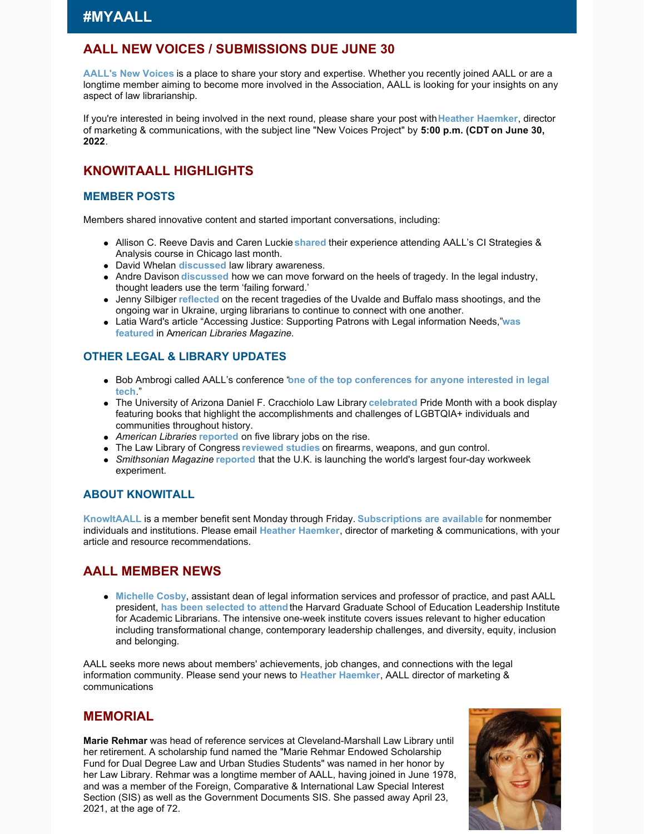### **AALL NEW VOICES / SUBMISSIONS DUE JUNE 30**

**[AALL's New Voices](https://www.aallnet.org/community/membership/meet-our-members/newvoices/)** is a place to share your story and expertise. Whether you recently joined AALL or are a longtime member aiming to become more involved in the Association, AALL is looking for your insights on any aspect of law librarianship.

If you're interested in being involved in the next round, please share your post with**[Heather Haemker](mailto:hhaemker@aall.org)**, director of marketing & communications, with the subject line "New Voices Project" by **5:00 p.m. (CDT on June 30, 2022**.

### **KNOWITAALL HIGHLIGHTS**

#### **MEMBER POSTS**

Members shared innovative content and started important conversations, including:

- Allison C. Reeve Davis and Caren Luckie **[shared](https://firmerground.wordpress.com/2022/06/02/experience-at-aalls-course-competitive-intelligence-strategies-analysis/)** their experience attending AALL's CI Strategies & Analysis course in Chicago last month.
- David Whelan **[discussed](https://ofaolain.com/blog/2022/06/07/law-library-awareness/)** law library awareness.
- Andre Davison **[discussed](https://notesbetweenus.com/2022/06/01/failing-forward-moving-forward-on-the-heels-of-tragedy/)** how we can move forward on the heels of tragedy. In the legal industry, thought leaders use the term 'failing forward.'
- Jenny Silbiger **[reflected](https://notesbetweenus.com/2022/06/08/candle-in-the-wind/)** on the recent tragedies of the Uvalde and Buffalo mass shootings, and the ongoing war in Ukraine, urging librarians to continue to connect with one another.
- [Latia Ward's article "Accessing Justice: Supporting Patrons with Legal information Needs,"](https://americanlibrariesmagazine.org/2022/06/01/accessing-justice/) **was featured** in A*merican Libraries Magazine*.

#### **OTHER LEGAL & LIBRARY UPDATES**

- **Bob Ambrogi called AALL's conference "[one of the top conferences for anyone interested in legal](https://www.lawnext.com/2022/05/why-legal-tech-fans-should-attend-aall-in-july.html) tech**."
- The University of Arizona Daniel F. Cracchiolo Law Library **[celebrated](https://libguides.library.arizona.edu/lawlibraryblog/home/Pride-Month)** Pride Month with a book display featuring books that highlight the accomplishments and challenges of LGBTQIA+ individuals and communities throughout history.
- *American Libraries* **[reported](https://americanlibrariesmagazine.org/2022/06/01/5-library-jobs-on-the-rise)** on five library jobs on the rise.
- The Law Library of Congress **[reviewed studies](https://blogs.loc.gov/law/2022/06/law-library-of-congress-studies-on-firearms-weapons-and-gun-control/)** on firearms, weapons, and gun control.
- *Smithsonian Magazine* **[reported](https://www.smithsonianmag.com/smart-news/the-uk-is-launching-the-worlds-largest-four-day-workweek-experiment-180980210/)** that the U.K. is launching the world's largest four-day workweek experiment.

#### **ABOUT KNOWITALL**

**[KnowItAALL](https://www.aallnet.org/resources-publications/publications/knowitaall/)** is a member benefit sent Monday through Friday. **[Subscriptions are available](https://www.aallnet.org/resources-publications/publications/knowitaall/)** for nonmember individuals and institutions. Please email **[Heather Haemker](mailto:hhaemker@aall.org)**, director of marketing & communications, with your article and resource recommendations.

### **AALL MEMBER NEWS**

**[Michelle Cosby](https://www.aallnet.org/members_only/membership/IndividualFormPublicMembers/detail?id=2010011B510)**, assistant dean of legal information services and professor of practice, and past AALL president, **[has been selected to attend](https://columns.wlu.edu/wl-laws-cosby-selected-for-harvard-leadership-program/)** the Harvard Graduate School of Education Leadership Institute for Academic Librarians. The intensive one-week institute covers issues relevant to higher education including transformational change, contemporary leadership challenges, and diversity, equity, inclusion and belonging.

AALL seeks more news about members' achievements, job changes, and connections with the legal information community. Please send your news to **[Heather Haemker](mailto:hhaemker@aall.org)**, AALL director of marketing & communications

#### **MEMORIAL**

**Marie Rehmar** was head of reference services at Cleveland-Marshall Law Library until her retirement. A scholarship fund named the "Marie Rehmar Endowed Scholarship Fund for Dual Degree Law and Urban Studies Students" was named in her honor by her Law Library. Rehmar was a longtime member of AALL, having joined in June 1978, and was a member of the Foreign, Comparative & International Law Special Interest Section (SIS) as well as the Government Documents SIS. She passed away April 23, 2021, at the age of 72.